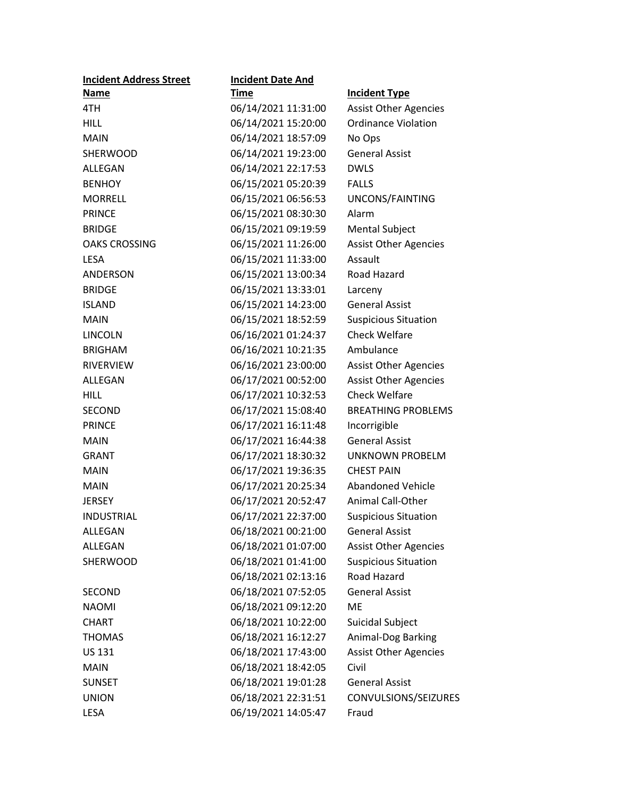| <b>Incident Address Street</b> | <b>Incident Date And</b> |                              |
|--------------------------------|--------------------------|------------------------------|
| Name                           | <u>Time</u>              | <b>Incident Type</b>         |
| 4TH                            | 06/14/2021 11:31:00      | <b>Assist Other Agencies</b> |
| <b>HILL</b>                    | 06/14/2021 15:20:00      | <b>Ordinance Violation</b>   |
| <b>MAIN</b>                    | 06/14/2021 18:57:09      | No Ops                       |
| <b>SHERWOOD</b>                | 06/14/2021 19:23:00      | <b>General Assist</b>        |
| ALLEGAN                        | 06/14/2021 22:17:53      | <b>DWLS</b>                  |
| <b>BENHOY</b>                  | 06/15/2021 05:20:39      | <b>FALLS</b>                 |
| <b>MORRELL</b>                 | 06/15/2021 06:56:53      | UNCONS/FAINTING              |
| <b>PRINCE</b>                  | 06/15/2021 08:30:30      | Alarm                        |
| <b>BRIDGE</b>                  | 06/15/2021 09:19:59      | <b>Mental Subject</b>        |
| <b>OAKS CROSSING</b>           | 06/15/2021 11:26:00      | <b>Assist Other Agencies</b> |
| <b>LESA</b>                    | 06/15/2021 11:33:00      | Assault                      |
| ANDERSON                       | 06/15/2021 13:00:34      | Road Hazard                  |
| <b>BRIDGE</b>                  | 06/15/2021 13:33:01      | Larceny                      |
| <b>ISLAND</b>                  | 06/15/2021 14:23:00      | <b>General Assist</b>        |
| <b>MAIN</b>                    | 06/15/2021 18:52:59      | <b>Suspicious Situation</b>  |
| LINCOLN                        | 06/16/2021 01:24:37      | <b>Check Welfare</b>         |
| <b>BRIGHAM</b>                 | 06/16/2021 10:21:35      | Ambulance                    |
| <b>RIVERVIEW</b>               | 06/16/2021 23:00:00      | <b>Assist Other Agencies</b> |
| ALLEGAN                        | 06/17/2021 00:52:00      | <b>Assist Other Agencies</b> |
| <b>HILL</b>                    | 06/17/2021 10:32:53      | <b>Check Welfare</b>         |
| SECOND                         | 06/17/2021 15:08:40      | <b>BREATHING PROBLEMS</b>    |
| <b>PRINCE</b>                  | 06/17/2021 16:11:48      | Incorrigible                 |
| <b>MAIN</b>                    | 06/17/2021 16:44:38      | <b>General Assist</b>        |
| <b>GRANT</b>                   | 06/17/2021 18:30:32      | UNKNOWN PROBELM              |
| <b>MAIN</b>                    | 06/17/2021 19:36:35      | <b>CHEST PAIN</b>            |
| <b>MAIN</b>                    | 06/17/2021 20:25:34      | <b>Abandoned Vehicle</b>     |
| <b>JERSEY</b>                  | 06/17/2021 20:52:47      | <b>Animal Call-Other</b>     |
| <b>INDUSTRIAL</b>              | 06/17/2021 22:37:00      | <b>Suspicious Situation</b>  |
| ALLEGAN                        | 06/18/2021 00:21:00      | <b>General Assist</b>        |
| <b>ALLEGAN</b>                 | 06/18/2021 01:07:00      | <b>Assist Other Agencies</b> |
| <b>SHERWOOD</b>                | 06/18/2021 01:41:00      | <b>Suspicious Situation</b>  |
|                                | 06/18/2021 02:13:16      | <b>Road Hazard</b>           |
| SECOND                         | 06/18/2021 07:52:05      | <b>General Assist</b>        |
| <b>NAOMI</b>                   | 06/18/2021 09:12:20      | <b>ME</b>                    |
| <b>CHART</b>                   | 06/18/2021 10:22:00      | Suicidal Subject             |
| <b>THOMAS</b>                  | 06/18/2021 16:12:27      | Animal-Dog Barking           |
| US 131                         | 06/18/2021 17:43:00      | <b>Assist Other Agencies</b> |
| <b>MAIN</b>                    | 06/18/2021 18:42:05      | Civil                        |
| <b>SUNSET</b>                  | 06/18/2021 19:01:28      | <b>General Assist</b>        |
| <b>UNION</b>                   | 06/18/2021 22:31:51      | CONVULSIONS/SEIZURES         |
| LESA                           | 06/19/2021 14:05:47      | Fraud                        |